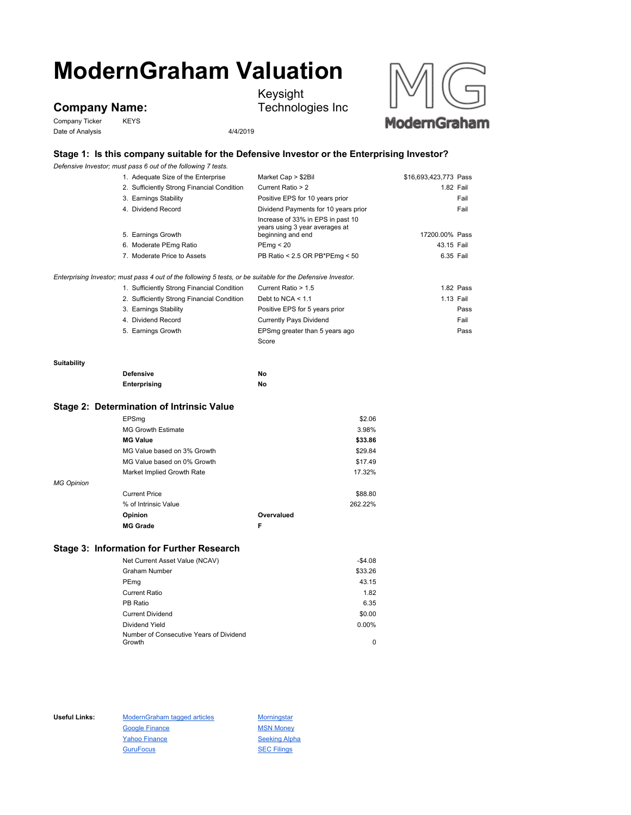# **ModernGraham Valuation**

# **Company Name:**

Company Ticker KEYS Date of Analysis 4/4/2019



Keysight

Technologies Inc

## **Stage 1: Is this company suitable for the Defensive Investor or the Enterprising Investor?**

*Defensive Investor; must pass 6 out of the following 7 tests.*

|                   | 1. Adequate Size of the Enterprise                                                                          | Market Cap > \$2Bil                                                 | \$16,693,423,773 Pass |
|-------------------|-------------------------------------------------------------------------------------------------------------|---------------------------------------------------------------------|-----------------------|
|                   | 2. Sufficiently Strong Financial Condition                                                                  | Current Ratio > 2                                                   | 1.82 Fail             |
|                   | 3. Earnings Stability                                                                                       | Positive EPS for 10 years prior                                     | Fail                  |
|                   | 4. Dividend Record                                                                                          | Dividend Payments for 10 years prior                                | Fail                  |
|                   |                                                                                                             | Increase of 33% in EPS in past 10<br>years using 3 year averages at |                       |
|                   | 5. Earnings Growth                                                                                          | beginning and end                                                   | 17200.00% Pass        |
|                   | 6. Moderate PEmg Ratio                                                                                      | PEmg < 20                                                           | 43.15 Fail            |
|                   | 7. Moderate Price to Assets                                                                                 | PB Ratio < 2.5 OR PB*PEmg < 50                                      | 6.35 Fail             |
|                   | Enterprising Investor; must pass 4 out of the following 5 tests, or be suitable for the Defensive Investor. |                                                                     |                       |
|                   | 1. Sufficiently Strong Financial Condition                                                                  | Current Ratio > 1.5                                                 | 1.82 Pass             |
|                   | 2. Sufficiently Strong Financial Condition                                                                  | Debt to NCA $<$ 1.1                                                 | 1.13 Fail             |
|                   | 3. Earnings Stability                                                                                       | Positive EPS for 5 years prior                                      | Pass                  |
|                   | 4. Dividend Record                                                                                          | <b>Currently Pays Dividend</b>                                      | Fail                  |
|                   | 5. Earnings Growth                                                                                          | EPSmg greater than 5 years ago                                      | Pass                  |
|                   |                                                                                                             | Score                                                               |                       |
| Suitability       |                                                                                                             |                                                                     |                       |
|                   | <b>Defensive</b>                                                                                            | No                                                                  |                       |
|                   | Enterprising                                                                                                | No                                                                  |                       |
|                   | Stage 2: Determination of Intrinsic Value                                                                   |                                                                     |                       |
|                   | EPSmg                                                                                                       | \$2.06                                                              |                       |
|                   | <b>MG Growth Estimate</b>                                                                                   | 3.98%                                                               |                       |
|                   | <b>MG Value</b>                                                                                             | \$33.86                                                             |                       |
|                   | MG Value based on 3% Growth                                                                                 | \$29.84                                                             |                       |
|                   | MG Value based on 0% Growth                                                                                 | \$17.49                                                             |                       |
|                   | Market Implied Growth Rate                                                                                  | 17.32%                                                              |                       |
| <b>MG Opinion</b> |                                                                                                             |                                                                     |                       |
|                   | <b>Current Price</b>                                                                                        | \$88.80                                                             |                       |

% of Intrinsic Value 262.22% **Opinion Overvalued MG Grade F**

### **Stage 3: Information for Further Research**

| Net Current Asset Value (NCAV)          | $-$4.08$ |
|-----------------------------------------|----------|
| Graham Number                           | \$33.26  |
| PEmg                                    | 43.15    |
| <b>Current Ratio</b>                    | 1.82     |
| PB Ratio                                | 6.35     |
| <b>Current Dividend</b>                 | \$0.00   |
| Dividend Yield                          | 0.00%    |
| Number of Consecutive Years of Dividend |          |
| Growth                                  | 0        |

Useful Links: ModernGraham tagged articles Morningstar Google Finance MSN Money Yahoo Finance Seeking Alpha GuruFocus **SEC Filings**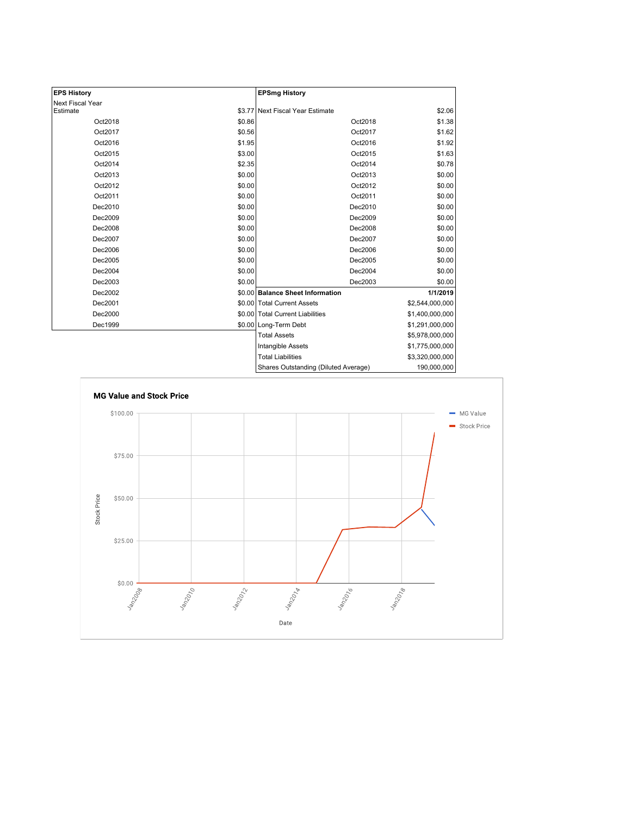| <b>EPS History</b> |        | <b>EPSmg History</b>                 |                 |
|--------------------|--------|--------------------------------------|-----------------|
| Next Fiscal Year   |        |                                      |                 |
| Estimate           |        | \$3.77 Next Fiscal Year Estimate     | \$2.06          |
| Oct2018            | \$0.86 | Oct2018                              | \$1.38          |
| Oct2017            | \$0.56 | Oct2017                              | \$1.62          |
| Oct2016            | \$1.95 | Oct2016                              | \$1.92          |
| Oct2015            | \$3.00 | Oct2015                              | \$1.63          |
| Oct2014            | \$2.35 | Oct2014                              | \$0.78          |
| Oct2013            | \$0.00 | Oct2013                              | \$0.00          |
| Oct2012            | \$0.00 | Oct2012                              | \$0.00          |
| Oct2011            | \$0.00 | Oct2011                              | \$0.00          |
| Dec2010            | \$0.00 | Dec2010                              | \$0.00          |
| Dec2009            | \$0.00 | Dec2009                              | \$0.00          |
| Dec2008            | \$0.00 | Dec2008                              | \$0.00          |
| Dec2007            | \$0.00 | Dec2007                              | \$0.00          |
| Dec2006            | \$0.00 | Dec2006                              | \$0.00          |
| Dec2005            | \$0.00 | Dec2005                              | \$0.00          |
| Dec2004            | \$0.00 | Dec2004                              | \$0.00          |
| Dec2003            | \$0.00 | Dec2003                              | \$0.00          |
| Dec2002            |        | \$0.00 Balance Sheet Information     | 1/1/2019        |
| Dec2001            |        | \$0.00 Total Current Assets          | \$2,544,000,000 |
| Dec2000            |        | \$0.00 Total Current Liabilities     | \$1,400,000,000 |
| Dec1999            |        | \$0.00 Long-Term Debt                | \$1,291,000,000 |
|                    |        | <b>Total Assets</b>                  | \$5,978,000,000 |
|                    |        | <b>Intangible Assets</b>             | \$1,775,000,000 |
|                    |        | <b>Total Liabilities</b>             | \$3,320,000,000 |
|                    |        | Shares Outstanding (Diluted Average) | 190,000,000     |